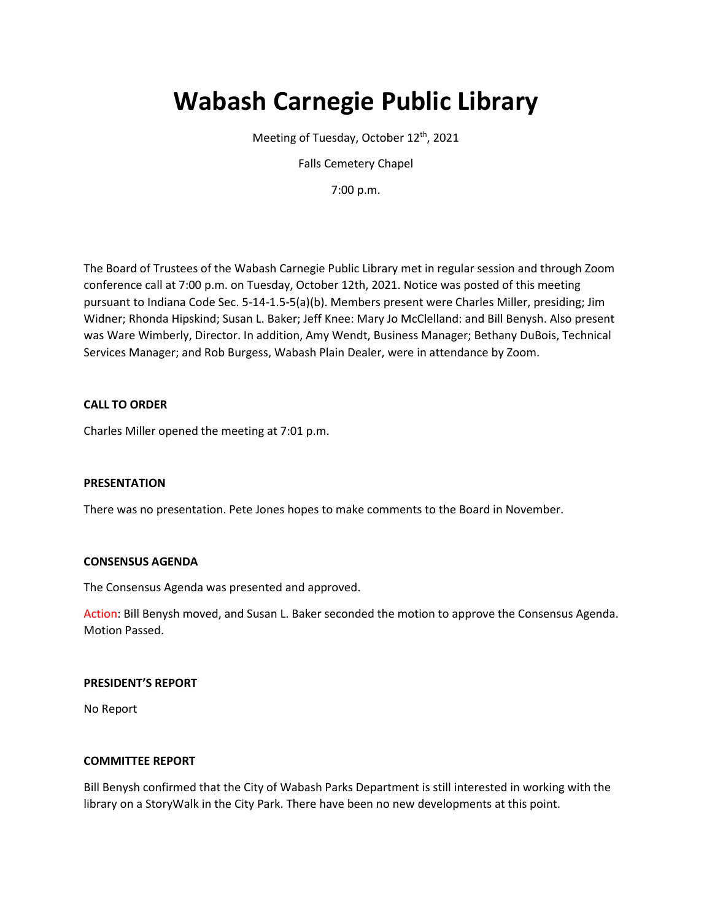# **Wabash Carnegie Public Library**

Meeting of Tuesday, October 12<sup>th</sup>, 2021

Falls Cemetery Chapel

7:00 p.m.

The Board of Trustees of the Wabash Carnegie Public Library met in regular session and through Zoom conference call at 7:00 p.m. on Tuesday, October 12th, 2021. Notice was posted of this meeting pursuant to Indiana Code Sec. 5-14-1.5-5(a)(b). Members present were Charles Miller, presiding; Jim Widner; Rhonda Hipskind; Susan L. Baker; Jeff Knee: Mary Jo McClelland: and Bill Benysh. Also present was Ware Wimberly, Director. In addition, Amy Wendt, Business Manager; Bethany DuBois, Technical Services Manager; and Rob Burgess, Wabash Plain Dealer, were in attendance by Zoom.

## **CALL TO ORDER**

Charles Miller opened the meeting at 7:01 p.m.

#### **PRESENTATION**

There was no presentation. Pete Jones hopes to make comments to the Board in November.

#### **CONSENSUS AGENDA**

The Consensus Agenda was presented and approved.

Action: Bill Benysh moved, and Susan L. Baker seconded the motion to approve the Consensus Agenda. Motion Passed.

#### **PRESIDENT'S REPORT**

No Report

#### **COMMITTEE REPORT**

Bill Benysh confirmed that the City of Wabash Parks Department is still interested in working with the library on a StoryWalk in the City Park. There have been no new developments at this point.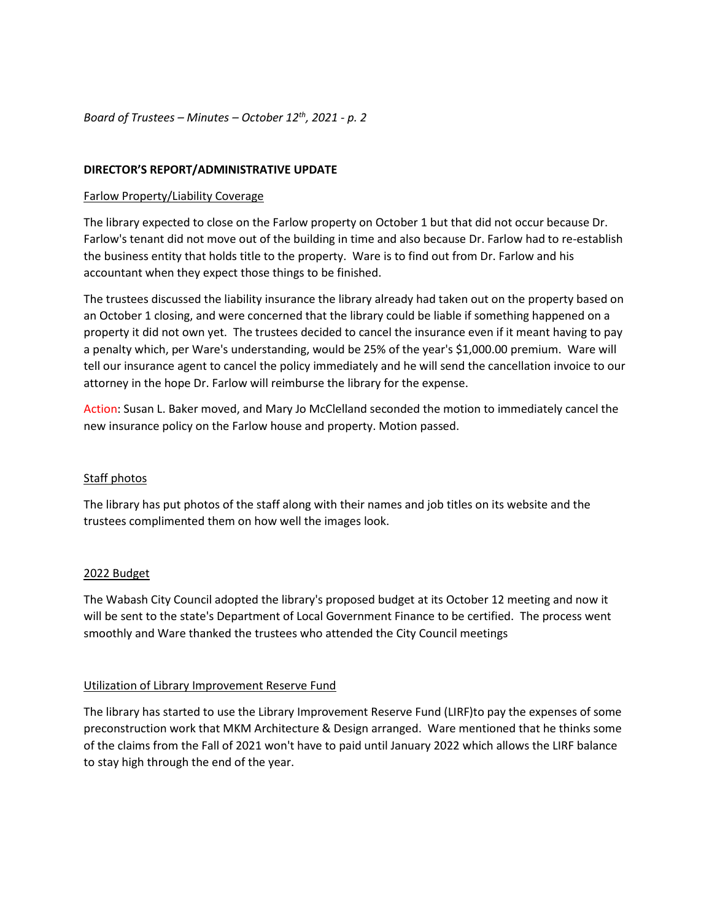*Board of Trustees – Minutes – October 12th, 2021 - p. 2*

## **DIRECTOR'S REPORT/ADMINISTRATIVE UPDATE**

## Farlow Property/Liability Coverage

The library expected to close on the Farlow property on October 1 but that did not occur because Dr. Farlow's tenant did not move out of the building in time and also because Dr. Farlow had to re-establish the business entity that holds title to the property. Ware is to find out from Dr. Farlow and his accountant when they expect those things to be finished.

The trustees discussed the liability insurance the library already had taken out on the property based on an October 1 closing, and were concerned that the library could be liable if something happened on a property it did not own yet. The trustees decided to cancel the insurance even if it meant having to pay a penalty which, per Ware's understanding, would be 25% of the year's \$1,000.00 premium. Ware will tell our insurance agent to cancel the policy immediately and he will send the cancellation invoice to our attorney in the hope Dr. Farlow will reimburse the library for the expense.

Action: Susan L. Baker moved, and Mary Jo McClelland seconded the motion to immediately cancel the new insurance policy on the Farlow house and property. Motion passed.

# Staff photos

The library has put photos of the staff along with their names and job titles on its website and the trustees complimented them on how well the images look.

#### 2022 Budget

The Wabash City Council adopted the library's proposed budget at its October 12 meeting and now it will be sent to the state's Department of Local Government Finance to be certified. The process went smoothly and Ware thanked the trustees who attended the City Council meetings

#### Utilization of Library Improvement Reserve Fund

The library has started to use the Library Improvement Reserve Fund (LIRF)to pay the expenses of some preconstruction work that MKM Architecture & Design arranged. Ware mentioned that he thinks some of the claims from the Fall of 2021 won't have to paid until January 2022 which allows the LIRF balance to stay high through the end of the year.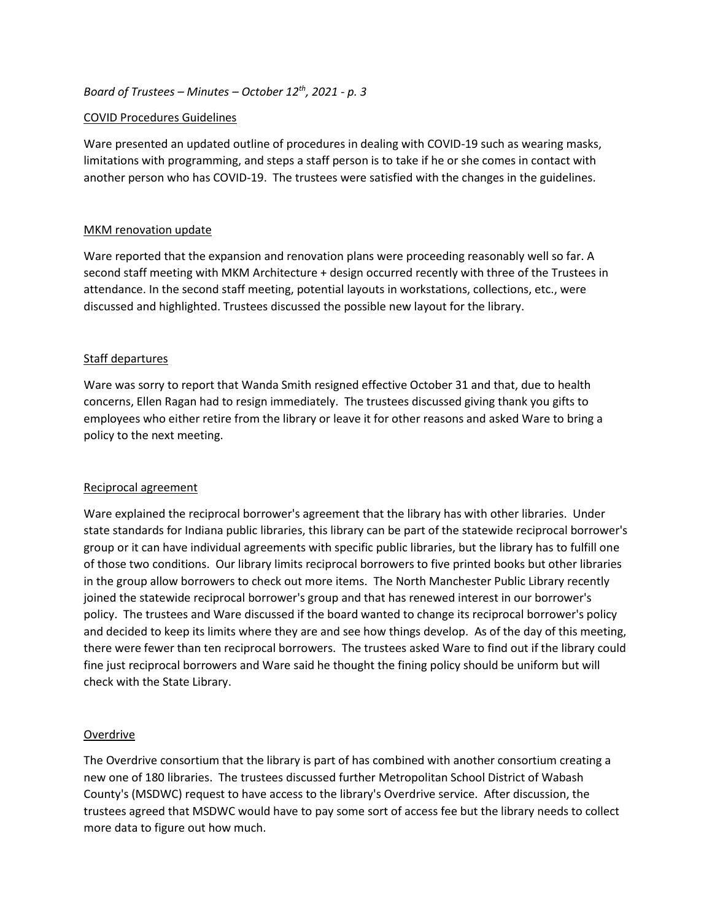# *Board of Trustees – Minutes – October 12th, 2021 - p. 3*

# COVID Procedures Guidelines

Ware presented an updated outline of procedures in dealing with COVID-19 such as wearing masks, limitations with programming, and steps a staff person is to take if he or she comes in contact with another person who has COVID-19. The trustees were satisfied with the changes in the guidelines.

# MKM renovation update

Ware reported that the expansion and renovation plans were proceeding reasonably well so far. A second staff meeting with MKM Architecture + design occurred recently with three of the Trustees in attendance. In the second staff meeting, potential layouts in workstations, collections, etc., were discussed and highlighted. Trustees discussed the possible new layout for the library.

# Staff departures

Ware was sorry to report that Wanda Smith resigned effective October 31 and that, due to health concerns, Ellen Ragan had to resign immediately. The trustees discussed giving thank you gifts to employees who either retire from the library or leave it for other reasons and asked Ware to bring a policy to the next meeting.

# Reciprocal agreement

Ware explained the reciprocal borrower's agreement that the library has with other libraries. Under state standards for Indiana public libraries, this library can be part of the statewide reciprocal borrower's group or it can have individual agreements with specific public libraries, but the library has to fulfill one of those two conditions. Our library limits reciprocal borrowers to five printed books but other libraries in the group allow borrowers to check out more items. The North Manchester Public Library recently joined the statewide reciprocal borrower's group and that has renewed interest in our borrower's policy. The trustees and Ware discussed if the board wanted to change its reciprocal borrower's policy and decided to keep its limits where they are and see how things develop. As of the day of this meeting, there were fewer than ten reciprocal borrowers. The trustees asked Ware to find out if the library could fine just reciprocal borrowers and Ware said he thought the fining policy should be uniform but will check with the State Library.

# **Overdrive**

The Overdrive consortium that the library is part of has combined with another consortium creating a new one of 180 libraries. The trustees discussed further Metropolitan School District of Wabash County's (MSDWC) request to have access to the library's Overdrive service. After discussion, the trustees agreed that MSDWC would have to pay some sort of access fee but the library needs to collect more data to figure out how much.